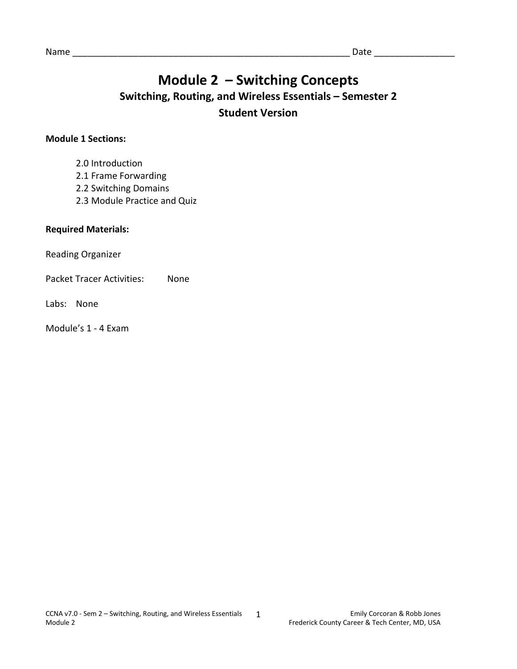# **Module 2 – Switching Concepts Switching, Routing, and Wireless Essentials – Semester 2 Student Version**

#### **Module 1 Sections:**

- 2.0 Introduction
- 2.1 Frame Forwarding
- 2.2 Switching Domains
- 2.3 Module Practice and Quiz

### **Required Materials:**

Reading Organizer

Packet Tracer Activities: None

Labs: None

Module's 1 - 4 Exam

1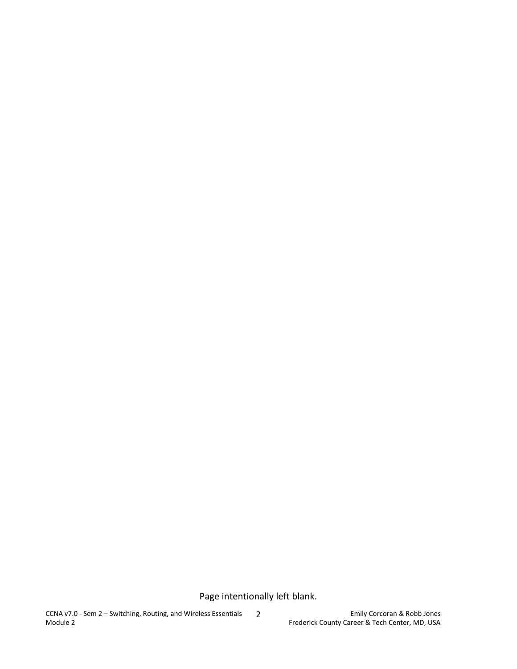Page intentionally left blank.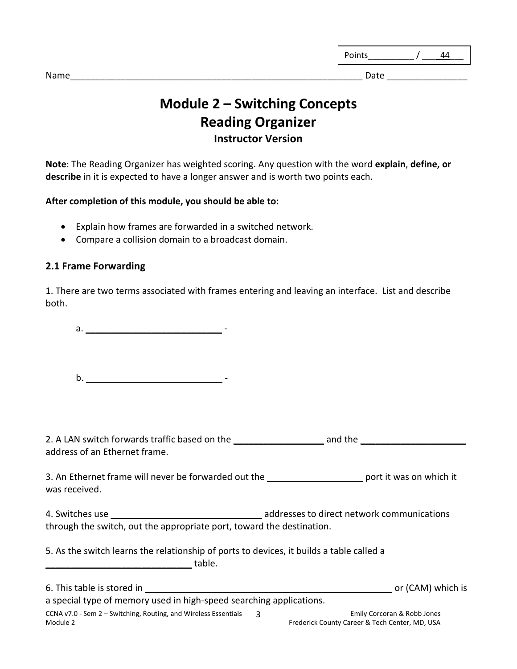| <b>Points</b> |  |
|---------------|--|
|               |  |

# **Module 2 – Switching Concepts Reading Organizer Instructor Version**

**Note**: The Reading Organizer has weighted scoring. Any question with the word **explain**, **define, or describe** in it is expected to have a longer answer and is worth two points each.

### **After completion of this module, you should be able to:**

- Explain how frames are forwarded in a switched network.
- Compare a collision domain to a broadcast domain.

## **2.1 Frame Forwarding**

1. There are two terms associated with frames entering and leaving an interface. List and describe both.

 $a.$   $-$ 

 $\mathsf b.$ 

| 2. A LAN switch forwards traffic based on the | and the |  |
|-----------------------------------------------|---------|--|
| address of an Ethernet frame.                 |         |  |

3. An Ethernet frame will never be forwarded out the \_\_\_\_\_\_\_\_\_\_\_\_\_\_\_\_\_\_\_\_\_\_\_\_\_\_ port it was on which it was received.

4. Switches use the communications of the communications addresses to direct network communications through the switch, out the appropriate port, toward the destination.

| 5. As the switch learns the relationship of ports to devices, it builds a table called a |        |  |
|------------------------------------------------------------------------------------------|--------|--|
|                                                                                          | table. |  |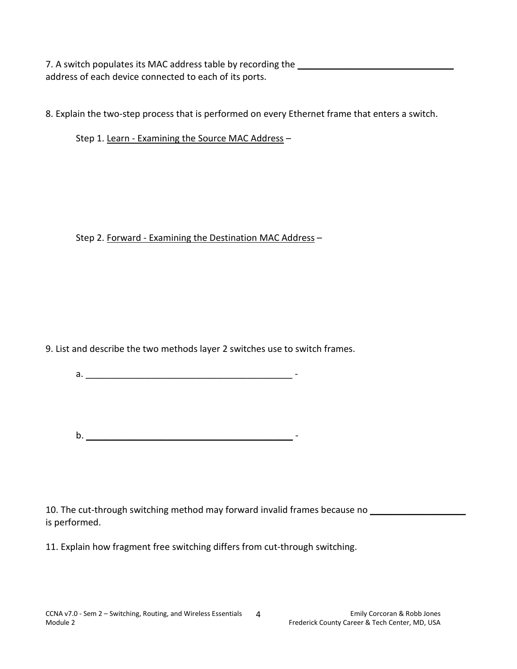7. A switch populates its MAC address table by recording the \_\_\_\_\_\_\_\_\_\_\_\_\_\_\_\_\_\_\_ address of each device connected to each of its ports.

8. Explain the two-step process that is performed on every Ethernet frame that enters a switch.

Step 1. Learn - Examining the Source MAC Address –

Step 2. Forward - Examining the Destination MAC Address –

9. List and describe the two methods layer 2 switches use to switch frames.

a.  $\hskip1cm$  -  $\hskip1cm$ 

b. \_\_\_\_\_\_\_\_\_\_\_\_\_\_\_\_\_\_\_\_\_\_\_\_\_\_\_\_\_\_\_\_\_\_\_\_\_\_\_\_\_ -

10. The cut-through switching method may forward invalid frames because no  $\sqrt{ }$ is performed.

11. Explain how fragment free switching differs from cut-through switching.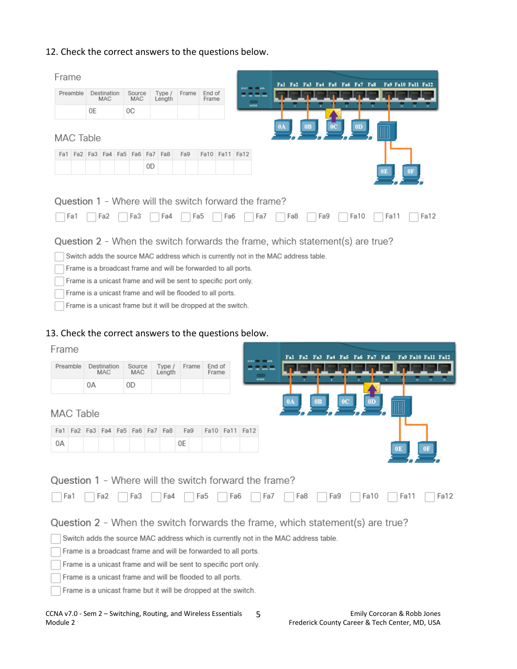#### 12. Check the correct answers to the questions below.

| Preamble                              |    |                    |                                                                  |                  |    |       |                 |     |                                                                                     |         | Fal Fa2 Fa3 Fa4 Fa5 Fa6 Fa7 Fa8 |     |                         |      |      | Fa9 Fa10 Fa11 Fa12 |      |
|---------------------------------------|----|--------------------|------------------------------------------------------------------|------------------|----|-------|-----------------|-----|-------------------------------------------------------------------------------------|---------|---------------------------------|-----|-------------------------|------|------|--------------------|------|
|                                       |    | Destination<br>MAC | Source<br>MAC                                                    | Type /<br>Length |    | Frame | End of<br>Frame |     | on be and                                                                           |         |                                 |     |                         |      |      |                    |      |
|                                       | 0E |                    | 0C                                                               |                  |    |       |                 |     | MODE                                                                                |         |                                 |     |                         |      |      |                    |      |
|                                       |    |                    |                                                                  |                  |    |       |                 |     |                                                                                     |         |                                 |     |                         |      |      |                    |      |
| <b>MAC Table</b>                      |    |                    |                                                                  |                  |    |       |                 |     |                                                                                     |         |                                 |     |                         |      |      |                    |      |
| Fa1 Fa2 Fa3 Fa4                       |    |                    | Fa5 Fa6                                                          | Fa7<br>Fa8       |    | Fa9   | Fa10 Fa11 Fa12  |     |                                                                                     |         |                                 |     |                         |      |      |                    |      |
|                                       |    |                    |                                                                  | 0D               |    |       |                 |     |                                                                                     |         |                                 |     |                         |      |      |                    |      |
|                                       |    |                    |                                                                  |                  |    |       |                 |     |                                                                                     |         |                                 |     |                         |      |      |                    |      |
|                                       |    |                    |                                                                  |                  |    |       |                 |     | Question 1 - Where will the switch forward the frame?                               |         |                                 |     |                         |      |      |                    |      |
| Fa1                                   |    | Fa2                | Fa3                                                              | Fa4              |    | Fa5   |                 | Fa6 | Fa7                                                                                 | Fa8     |                                 | Fa9 |                         | Fa10 | Fa11 |                    | Fa12 |
|                                       |    |                    |                                                                  |                  |    |       |                 |     |                                                                                     |         |                                 |     |                         |      |      |                    |      |
|                                       |    |                    |                                                                  |                  |    |       |                 |     | Question 2 - When the switch forwards the frame, which statement(s) are true?       |         |                                 |     |                         |      |      |                    |      |
|                                       |    |                    |                                                                  |                  |    |       |                 |     | Switch adds the source MAC address which is currently not in the MAC address table. |         |                                 |     |                         |      |      |                    |      |
|                                       |    |                    | Frame is a broadcast frame and will be forwarded to all ports.   |                  |    |       |                 |     |                                                                                     |         |                                 |     |                         |      |      |                    |      |
|                                       |    |                    | Frame is a unicast frame and will be sent to specific port only. |                  |    |       |                 |     |                                                                                     |         |                                 |     |                         |      |      |                    |      |
|                                       |    |                    |                                                                  |                  |    |       |                 |     |                                                                                     |         |                                 |     |                         |      |      |                    |      |
|                                       |    |                    | Frame is a unicast frame and will be flooded to all ports.       |                  |    |       |                 |     |                                                                                     |         |                                 |     |                         |      |      |                    |      |
|                                       |    |                    | Frame is a unicast frame but it will be dropped at the switch.   |                  |    |       |                 |     |                                                                                     |         |                                 |     |                         |      |      |                    |      |
|                                       |    |                    |                                                                  |                  |    |       |                 |     |                                                                                     |         |                                 |     |                         |      |      |                    |      |
|                                       |    |                    |                                                                  |                  |    |       |                 |     | 13. Check the correct answers to the questions below.                               |         |                                 |     |                         |      |      |                    |      |
|                                       |    |                    |                                                                  |                  |    |       |                 |     |                                                                                     |         |                                 |     |                         |      |      |                    |      |
|                                       |    |                    |                                                                  |                  |    |       |                 |     | <b>CVETT DEC</b>                                                                    | Fal Fa2 |                                 |     | Fa3 Fa4 Fa5 Fa6 Fa7 Fa8 |      |      | Fa9 Fal0 Fall      |      |
|                                       |    | Destination<br>MAC | Source<br>MAC                                                    | Type /<br>Length |    | Frame | End of<br>Frame |     |                                                                                     |         |                                 |     |                         |      |      |                    |      |
|                                       | 0A |                    | 0D                                                               |                  |    |       |                 |     | MODE                                                                                |         |                                 |     |                         |      |      |                    |      |
|                                       |    |                    |                                                                  |                  |    |       |                 |     |                                                                                     |         |                                 |     |                         |      |      |                    |      |
|                                       |    |                    |                                                                  |                  |    |       |                 |     |                                                                                     |         |                                 |     |                         |      |      |                    |      |
|                                       |    |                    | Fa1 Fa2 Fa3 Fa4 Fa5 Fa6 Fa7                                      | Fa8              |    | Fa9   |                 |     | Fa10   Fa11   Fa12                                                                  |         |                                 |     |                         |      |      |                    |      |
| Frame<br>Preamble<br><b>MAC Table</b> |    |                    |                                                                  |                  |    |       |                 |     |                                                                                     |         |                                 |     |                         |      |      |                    |      |
| 0Α                                    |    |                    |                                                                  |                  | 0E |       |                 |     |                                                                                     |         |                                 |     |                         |      |      |                    |      |

| Fa1 | Fa2 | Fa3 | Fa4 | Fa5 | Fa6 | Fa7 | Fa8 | Fa9 | Fa10 | Fa11 | Fa12

Question 2 - When the switch forwards the frame, which statement(s) are true?

Switch adds the source MAC address which is currently not in the MAC address table.

Frame is a broadcast frame and will be forwarded to all ports.

Frame is a unicast frame and will be sent to specific port only.

Frame is a unicast frame and will be flooded to all ports.

Frame is a unicast frame but it will be dropped at the switch.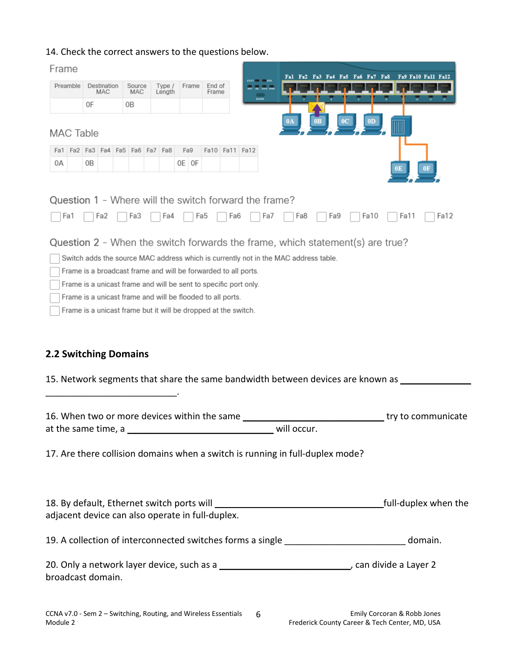## 14. Check the correct answers to the questions below.

| Frame            |                                                                 |                 |                  |       |                                                                  |          | Fa4 Fa5 Fa6 Fa7 Fa8<br>Fa9 Fal0 Fall Fal2<br>Fal Fa2<br>Fa3                                                           |
|------------------|-----------------------------------------------------------------|-----------------|------------------|-------|------------------------------------------------------------------|----------|-----------------------------------------------------------------------------------------------------------------------|
| Preamble         | Destination<br>MAC                                              | Source<br>MAC   | Type /<br>Length | Frame | End of<br>Frame                                                  | SVST RPS |                                                                                                                       |
|                  | 0F                                                              | 0B              |                  |       |                                                                  | MODE     |                                                                                                                       |
| <b>MAC</b> Table |                                                                 |                 |                  |       |                                                                  |          |                                                                                                                       |
|                  | Fa1 Fa2 Fa3 Fa4                                                 | Fa5 Fa6 Fa7 Fa8 |                  | Fa9   | Fa10 Fa11 Fa12                                                   |          |                                                                                                                       |
| 0А               | 0B                                                              |                 |                  | OE OF |                                                                  |          |                                                                                                                       |
|                  |                                                                 |                 |                  |       |                                                                  |          |                                                                                                                       |
|                  |                                                                 |                 |                  |       | Question 1 - Where will the switch forward the frame?            |          |                                                                                                                       |
| Fa1              | Fa2                                                             | Fa3             | Fa4              | Fa5   | Fa6                                                              | Fa7      | Fa12<br>Fa8<br>Fa9<br>Fa10<br>Fa11                                                                                    |
|                  |                                                                 |                 |                  |       |                                                                  |          | Question 2 - When the switch forwards the frame, which statement(s) are true?                                         |
|                  |                                                                 |                 |                  |       |                                                                  |          | Switch adds the source MAC address which is currently not in the MAC address table.                                   |
|                  |                                                                 |                 |                  |       | Frame is a broadcast frame and will be forwarded to all ports.   |          |                                                                                                                       |
|                  | Frame is a unicast frame and will be flooded to all ports.      |                 |                  |       | Frame is a unicast frame and will be sent to specific port only. |          |                                                                                                                       |
|                  |                                                                 |                 |                  |       | Frame is a unicast frame but it will be dropped at the switch.   |          |                                                                                                                       |
|                  |                                                                 |                 |                  |       |                                                                  |          |                                                                                                                       |
|                  |                                                                 |                 |                  |       |                                                                  |          |                                                                                                                       |
|                  | <b>2.2 Switching Domains</b>                                    |                 |                  |       |                                                                  |          |                                                                                                                       |
|                  |                                                                 |                 |                  |       |                                                                  |          |                                                                                                                       |
|                  |                                                                 |                 |                  |       |                                                                  |          | 15. Network segments that share the same bandwidth between devices are known as ___                                   |
|                  |                                                                 |                 |                  |       |                                                                  |          |                                                                                                                       |
|                  |                                                                 |                 |                  |       | at the same time, a                                              |          | 16. When two or more devices within the same ___________________________________<br>try to communicate<br>will occur. |
|                  |                                                                 |                 |                  |       |                                                                  |          |                                                                                                                       |
|                  |                                                                 |                 |                  |       |                                                                  |          | 17. Are there collision domains when a switch is running in full-duplex mode?                                         |
|                  |                                                                 |                 |                  |       |                                                                  |          |                                                                                                                       |
|                  |                                                                 |                 |                  |       |                                                                  |          |                                                                                                                       |
|                  |                                                                 |                 |                  |       |                                                                  |          | _full-duplex when the                                                                                                 |
|                  | adjacent device can also operate in full-duplex.                |                 |                  |       |                                                                  |          |                                                                                                                       |
|                  |                                                                 |                 |                  |       |                                                                  |          | 19. A collection of interconnected switches forms a single _____________________<br>domain.                           |
|                  |                                                                 |                 |                  |       |                                                                  |          | 20. Only a network layer device, such as a ________________________________, can divide a Layer 2                     |
|                  | broadcast domain.                                               |                 |                  |       |                                                                  |          |                                                                                                                       |
|                  |                                                                 |                 |                  |       |                                                                  |          |                                                                                                                       |
|                  | CCNA v7.0 - Sem 2 - Switching, Routing, and Wireless Essentials |                 |                  |       |                                                                  | 6        | Emily Corcoran & Robb Jones                                                                                           |
| Module 2         |                                                                 |                 |                  |       |                                                                  |          | Frederick County Career & Tech Center, MD, USA                                                                        |